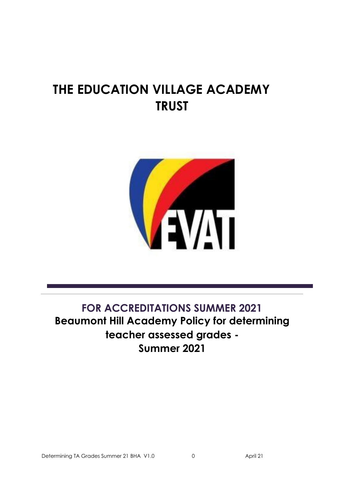# **THE EDUCATION VILLAGE ACADEMY TRUST**



## **FOR ACCREDITATIONS SUMMER 2021 Beaumont Hill Academy Policy for determining teacher assessed grades - Summer 2021**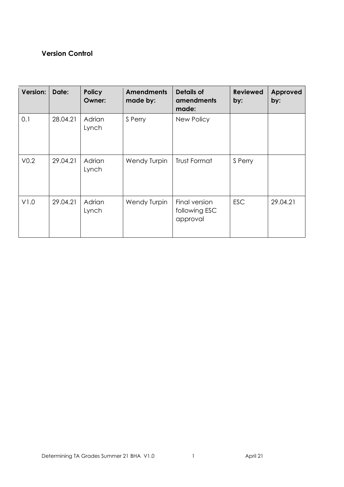## **Version Control**

| Version:         | Date:    | <b>Policy</b><br><b>Owner:</b> | <b>Amendments</b><br>made by: | <b>Details of</b><br>amendments<br>made:   | <b>Reviewed</b><br>by: | <b>Approved</b><br>by: |
|------------------|----------|--------------------------------|-------------------------------|--------------------------------------------|------------------------|------------------------|
| 0.1              | 28.04.21 | Adrian<br>Lynch                | S Perry                       | New Policy                                 |                        |                        |
| V <sub>0.2</sub> | 29.04.21 | Adrian<br>Lynch                | <b>Wendy Turpin</b>           | Trust Format                               | S Perry                |                        |
| V1.0             | 29.04.21 | Adrian<br>Lynch                | Wendy Turpin                  | Final version<br>following ESC<br>approval | <b>ESC</b>             | 29.04.21               |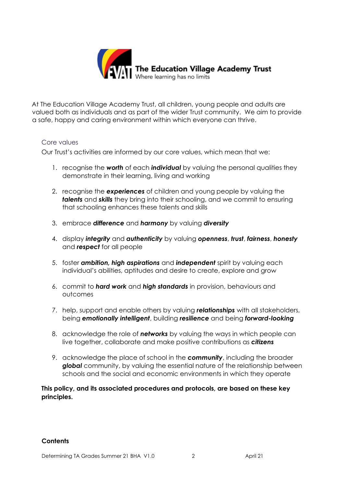

At The Education Village Academy Trust, all children, young people and adults are valued both as individuals and as part of the wider Trust community. We aim to provide a safe, happy and caring environment within which everyone can thrive.

## Core values

Our Trust's activities are informed by our core values, which mean that we:

- 1. recognise the *worth* of each *individual* by valuing the personal qualities they demonstrate in their learning, living and working
- 2. recognise the *experiences* of children and young people by valuing the *talents* and *skills* they bring into their schooling, and we commit to ensuring that schooling enhances these talents and skills
- 3. embrace *difference* and *harmony* by valuing *diversity*
- 4. display *integrity* and *authenticity* by valuing *openness*, *trust*, *fairness*, *honesty* and *respect* for all people
- 5. foster *ambition, high aspirations* and *independent* spirit by valuing each individual's abilities, aptitudes and desire to create, explore and grow
- 6. commit to *hard work* and *high standards* in provision, behaviours and outcomes
- 7. help, support and enable others by valuing *relationships* with all stakeholders, being *emotionally intelligent*, building *resilience* and being *forward-looking*
- 8. acknowledge the role of *networks* by valuing the ways in which people can live together, collaborate and make positive contributions as *citizens*
- 9. acknowledge the place of school in the *community*, including the broader *global* community, by valuing the essential nature of the relationship between schools and the social and economic environments in which they operate

**This policy, and its associated procedures and protocols, are based on these key principles.**

#### **Contents**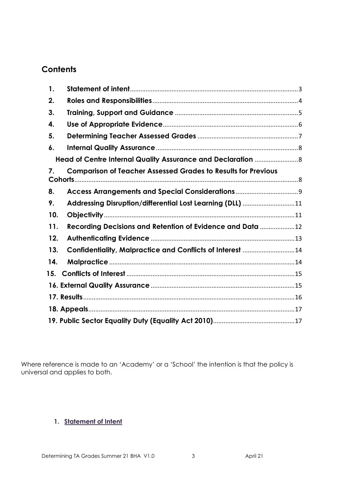## **Contents**

| 1.  |                                                                      |  |
|-----|----------------------------------------------------------------------|--|
| 2.  |                                                                      |  |
| 3.  |                                                                      |  |
| 4.  |                                                                      |  |
| 5.  |                                                                      |  |
| 6.  |                                                                      |  |
|     |                                                                      |  |
| 7.  | <b>Comparison of Teacher Assessed Grades to Results for Previous</b> |  |
| 8.  |                                                                      |  |
| 9.  | Addressing Disruption/differential Lost Learning (DLL) 11            |  |
| 10. |                                                                      |  |
| 11. | Recording Decisions and Retention of Evidence and Data 12            |  |
| 12. |                                                                      |  |
| 13. | Confidentiality, Malpractice and Conflicts of Interest 14            |  |
| 14. |                                                                      |  |
| 15. |                                                                      |  |
|     |                                                                      |  |
|     |                                                                      |  |
|     |                                                                      |  |
|     |                                                                      |  |

Where reference is made to an 'Academy' or a 'School' the intention is that the policy is universal and applies to both.

## <span id="page-3-0"></span>**1. Statement of Intent**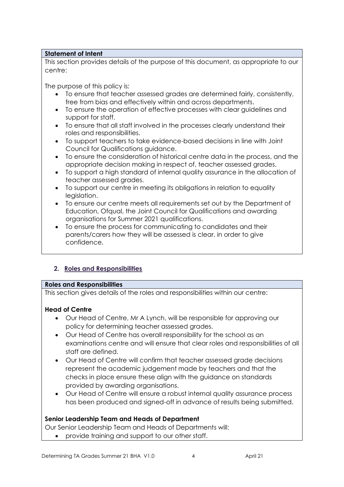## **Statement of Intent**

This section provides details of the purpose of this document, as appropriate to our centre:

The purpose of this policy is:

- To ensure that teacher assessed grades are determined fairly, consistently, free from bias and effectively within and across departments.
- To ensure the operation of effective processes with clear guidelines and support for staff.
- To ensure that all staff involved in the processes clearly understand their roles and responsibilities.
- To support teachers to take evidence-based decisions in line with Joint Council for Qualifications guidance.
- To ensure the consideration of historical centre data in the process, and the appropriate decision making in respect of, teacher assessed grades.
- To support a high standard of internal quality assurance in the allocation of teacher assessed grades.
- To support our centre in meeting its obligations in relation to equality legislation.
- To ensure our centre meets all requirements set out by the Department of Education, Ofqual, the Joint Council for Qualifications and awarding organisations for Summer 2021 qualifications.
- To ensure the process for communicating to candidates and their parents/carers how they will be assessed is clear, in order to give confidence.

## <span id="page-4-0"></span>**2. Roles and Responsibilities**

#### **Roles and Responsibilities**

This section gives details of the roles and responsibilities within our centre:

## **Head of Centre**

- Our Head of Centre, Mr A Lynch, will be responsible for approving our policy for determining teacher assessed grades.
- Our Head of Centre has overall responsibility for the school as an examinations centre and will ensure that clear roles and responsibilities of all staff are defined.
- Our Head of Centre will confirm that teacher assessed grade decisions represent the academic judgement made by teachers and that the checks in place ensure these align with the guidance on standards provided by awarding organisations.
- Our Head of Centre will ensure a robust internal quality assurance process has been produced and signed-off in advance of results being submitted.

## **Senior Leadership Team and Heads of Department**

Our Senior Leadership Team and Heads of Departments will:

• provide training and support to our other staff.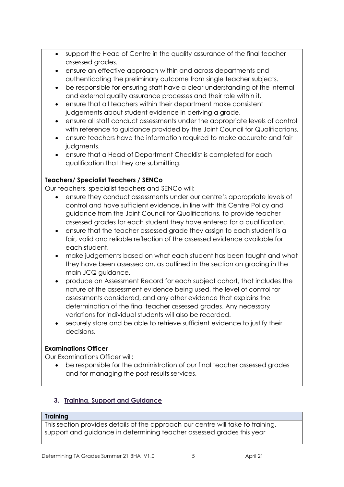- support the Head of Centre in the quality assurance of the final teacher assessed grades.
- ensure an effective approach within and across departments and authenticating the preliminary outcome from single teacher subjects.
- be responsible for ensuring staff have a clear understanding of the internal and external quality assurance processes and their role within it.
- ensure that all teachers within their department make consistent judgements about student evidence in deriving a grade.
- ensure all staff conduct assessments under the appropriate levels of control with reference to quidance provided by the Joint Council for Qualifications.
- ensure teachers have the information required to make accurate and fair judgments.
- ensure that a Head of Department Checklist is completed for each qualification that they are submitting.

## **Teachers/ Specialist Teachers / SENCo**

Our teachers, specialist teachers and SENCo will:

- ensure they conduct assessments under our centre's appropriate levels of control and have sufficient evidence, in line with this Centre Policy and guidance from the Joint Council for Qualifications, to provide teacher assessed grades for each student they have entered for a qualification.
- ensure that the teacher assessed grade they assign to each student is a fair, valid and reliable reflection of the assessed evidence available for each student.
- make judgements based on what each student has been taught and what they have been assessed on, as outlined in the section on grading in the main JCQ guidance**.**
- produce an Assessment Record for each subject cohort, that includes the nature of the assessment evidence being used, the level of control for assessments considered, and any other evidence that explains the determination of the final teacher assessed grades. Any necessary variations for individual students will also be recorded.
- securely store and be able to retrieve sufficient evidence to justify their decisions.

## **Examinations Officer**

Our Examinations Officer will:

• be responsible for the administration of our final teacher assessed grades and for managing the post-results services.

## <span id="page-5-0"></span>**3. Training, Support and Guidance**

## **Training**

This section provides details of the approach our centre will take to training, support and guidance in determining teacher assessed grades this year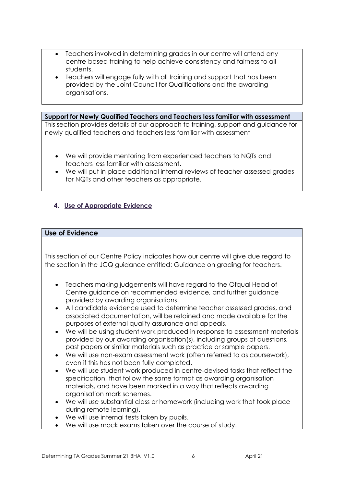- Teachers involved in determining grades in our centre will attend any centre-based training to help achieve consistency and fairness to all students.
- Teachers will engage fully with all training and support that has been provided by the Joint Council for Qualifications and the awarding organisations.

**Support for Newly Qualified Teachers and Teachers less familiar with assessment**  This section provides details of our approach to training, support and guidance for newly qualified teachers and teachers less familiar with assessment

- We will provide mentoring from experienced teachers to NQTs and teachers less familiar with assessment.
- We will put in place additional internal reviews of teacher assessed grades for NQTs and other teachers as appropriate.

## <span id="page-6-0"></span>**4. Use of Appropriate Evidence**

## **Use of Evidence**

This section of our Centre Policy indicates how our centre will give due regard to the section in the JCQ guidance entitled: Guidance on grading for teachers.

- Teachers making judgements will have regard to the Ofqual Head of Centre guidance on recommended evidence, and further guidance provided by awarding organisations.
- All candidate evidence used to determine teacher assessed grades, and associated documentation, will be retained and made available for the purposes of external quality assurance and appeals.
- We will be using student work produced in response to assessment materials provided by our awarding organisation(s), including groups of questions, past papers or similar materials such as practice or sample papers.
- We will use non-exam assessment work (often referred to as coursework), even if this has not been fully completed.
- We will use student work produced in centre-devised tasks that reflect the specification, that follow the same format as awarding organisation materials, and have been marked in a way that reflects awarding organisation mark schemes.
- We will use substantial class or homework (including work that took place during remote learning).
- We will use internal tests taken by pupils.
- We will use mock exams taken over the course of study.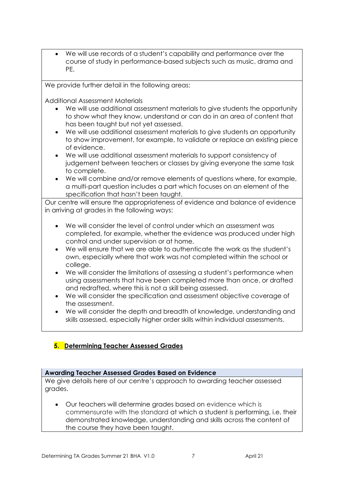• We will use records of a student's capability and performance over the course of study in performance-based subjects such as music, drama and PE.

We provide further detail in the following areas:

Additional Assessment Materials

- We will use additional assessment materials to give students the opportunity to show what they know, understand or can do in an area of content that has been taught but not yet assessed.
- We will use additional assessment materials to give students an opportunity to show improvement, for example, to validate or replace an existing piece of evidence.
- We will use additional assessment materials to support consistency of judgement between teachers or classes by giving everyone the same task to complete.
- We will combine and/or remove elements of questions where, for example, a multi-part question includes a part which focuses on an element of the specification that hasn't been taught.

Our centre will ensure the appropriateness of evidence and balance of evidence in arriving at grades in the following ways:

- We will consider the level of control under which an assessment was completed, for example, whether the evidence was produced under high control and under supervision or at home.
- We will ensure that we are able to authenticate the work as the student's own, especially where that work was not completed within the school or college.
- We will consider the limitations of assessing a student's performance when using assessments that have been completed more than once, or drafted and redrafted, where this is not a skill being assessed.
- We will consider the specification and assessment objective coverage of the assessment.
- We will consider the depth and breadth of knowledge, understanding and skills assessed, especially higher order skills within individual assessments.

## <span id="page-7-0"></span>**5. Determining Teacher Assessed Grades**

## **Awarding Teacher Assessed Grades Based on Evidence**

We give details here of our centre's approach to awarding teacher assessed grades.

• Our teachers will determine grades based on evidence which is commensurate with the standard at which a student is performing, i.e. their demonstrated knowledge, understanding and skills across the content of the course they have been taught.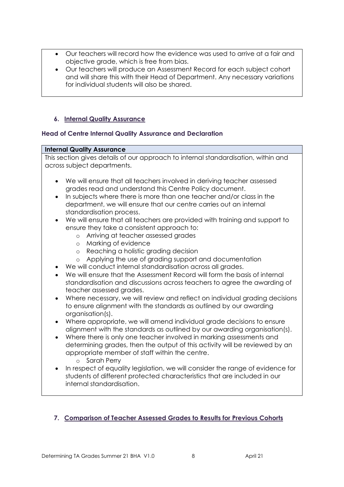- Our teachers will record how the evidence was used to arrive at a fair and objective grade, which is free from bias.
- Our teachers will produce an Assessment Record for each subject cohort and will share this with their Head of Department. Any necessary variations for individual students will also be shared.

## <span id="page-8-0"></span>**6. Internal Quality Assurance**

## <span id="page-8-1"></span>**Head of Centre Internal Quality Assurance and Declaration**

#### **Internal Quality Assurance**

This section gives details of our approach to internal standardisation, within and across subject departments.

- We will ensure that all teachers involved in deriving teacher assessed grades read and understand this Centre Policy document.
- In subjects where there is more than one teacher and/or class in the department, we will ensure that our centre carries out an internal standardisation process.
- We will ensure that all teachers are provided with training and support to ensure they take a consistent approach to:
	- o Arriving at teacher assessed grades
	- o Marking of evidence
	- o Reaching a holistic grading decision
	- o Applying the use of grading support and documentation
- We will conduct internal standardisation across all grades.
- We will ensure that the Assessment Record will form the basis of internal standardisation and discussions across teachers to agree the awarding of teacher assessed grades.
- Where necessary, we will review and reflect on individual grading decisions to ensure alignment with the standards as outlined by our awarding organisation(s).
- Where appropriate, we will amend individual grade decisions to ensure alignment with the standards as outlined by our awarding organisation(s).
- Where there is only one teacher involved in marking assessments and determining grades, then the output of this activity will be reviewed by an appropriate member of staff within the centre.
	- o Sarah Perry
- In respect of equality legislation, we will consider the range of evidence for students of different protected characteristics that are included in our internal standardisation.

## <span id="page-8-2"></span>**7. Comparison of Teacher Assessed Grades to Results for Previous Cohorts**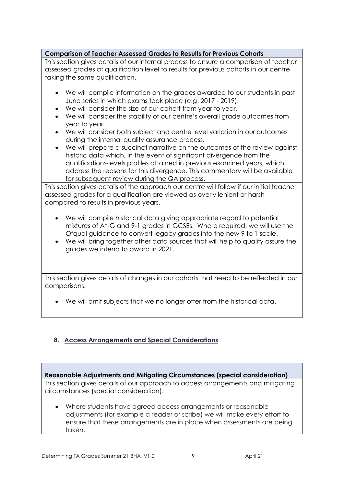## **Comparison of Teacher Assessed Grades to Results for Previous Cohorts**

This section gives details of our internal process to ensure a comparison of teacher assessed grades at qualification level to results for previous cohorts in our centre taking the same qualification.

- We will compile information on the grades awarded to our students in past June series in which exams took place (e.g. 2017 - 2019).
- We will consider the size of our cohort from year to year.
- We will consider the stability of our centre's overall grade outcomes from year to year.
- We will consider both subject and centre level variation in our outcomes during the internal quality assurance process.
- We will prepare a succinct narrative on the outcomes of the review against historic data which, in the event of significant divergence from the qualifications-levels profiles attained in previous examined years, which address the reasons for this divergence. This commentary will be available for subsequent review during the QA process.

This section gives details of the approach our centre will follow if our initial teacher assessed grades for a qualification are viewed as overly lenient or harsh compared to results in previous years.

- We will compile historical data giving appropriate regard to potential mixtures of A\*-G and 9-1 grades in GCSEs. Where required, we will use the Ofqual guidance to convert legacy grades into the new 9 to 1 scale.
- We will bring together other data sources that will help to quality assure the grades we intend to award in 2021.

This section gives details of changes in our cohorts that need to be reflected in our comparisons.

• We will omit subjects that we no longer offer from the historical data.

## <span id="page-9-0"></span>**8. Access Arrangements and Special Considerations**

## **Reasonable Adjustments and Mitigating Circumstances (special consideration)**

This section gives details of our approach to access arrangements and mitigating circumstances (special consideration).

• Where students have agreed access arrangements or reasonable adjustments (for example a reader or scribe) we will make every effort to ensure that these arrangements are in place when assessments are being taken.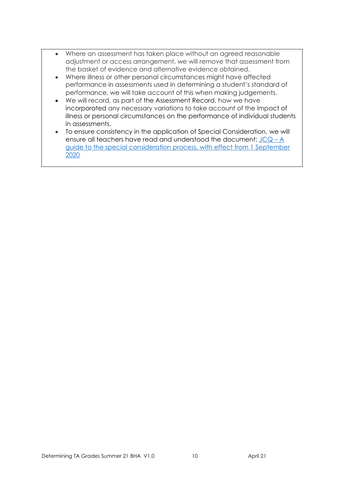- Where an assessment has taken place without an agreed reasonable adjustment or access arrangement, we will remove that assessment from the basket of evidence and alternative evidence obtained.
- Where illness or other personal circumstances might have affected performance in assessments used in determining a student's standard of performance, we will take account of this when making judgements.
- We will record, as part of the Assessment Record, how we have incorporated any necessary variations to take account of the impact of illness or personal circumstances on the performance of individual students in assessments.
- To ensure consistency in the application of Special Consideration, we will ensure all teachers have read and understood the document:  $JCQ - A$  $JCQ - A$ [guide to the special consideration process, with effect from 1 September](https://www.jcq.org.uk/wp-content/uploads/2020/08/A-guide-to-the-spec-con-process-202021-Website-version.pdf)  [2020](https://www.jcq.org.uk/wp-content/uploads/2020/08/A-guide-to-the-spec-con-process-202021-Website-version.pdf)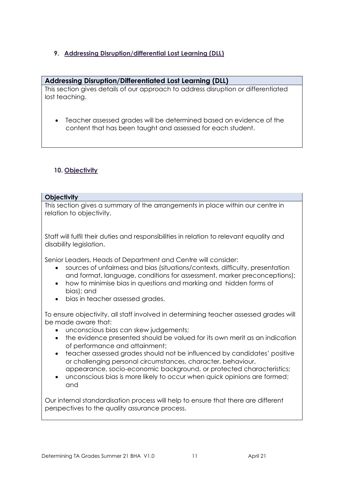## <span id="page-11-0"></span>**9. Addressing Disruption/differential Lost Learning (DLL)**

## **Addressing Disruption/Differentiated Lost Learning (DLL)**

This section gives details of our approach to address disruption or differentiated lost teaching.

• Teacher assessed grades will be determined based on evidence of the content that has been taught and assessed for each student.

## <span id="page-11-1"></span>**10. Objectivity**

## **Objectivity**

This section gives a summary of the arrangements in place within our centre in relation to objectivity.

Staff will fulfil their duties and responsibilities in relation to relevant equality and disability legislation.

Senior Leaders, Heads of Department and Centre will consider:

- sources of unfairness and bias (situations/contexts, difficulty, presentation and format, language, conditions for assessment, marker preconceptions);
- how to minimise bias in questions and marking and hidden forms of bias); and
- bias in teacher assessed grades.

To ensure objectivity, all staff involved in determining teacher assessed grades will be made aware that:

- unconscious bias can skew judgements;
- the evidence presented should be valued for its own merit as an indication of performance and attainment;
- teacher assessed grades should not be influenced by candidates' positive or challenging personal circumstances, character, behaviour, appearance, socio-economic background, or protected characteristics;
- unconscious bias is more likely to occur when quick opinions are formed; and

Our internal standardisation process will help to ensure that there are different perspectives to the quality assurance process.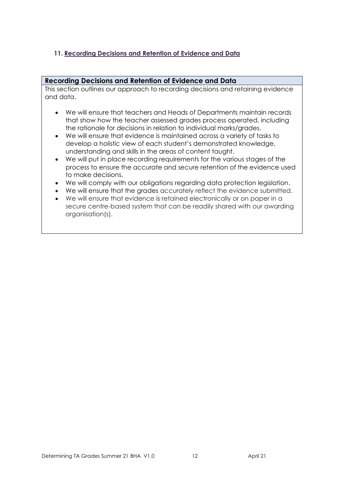## <span id="page-12-0"></span>**11. Recording Decisions and Retention of Evidence and Data**

## **Recording Decisions and Retention of Evidence and Data**

This section outlines our approach to recording decisions and retaining evidence and data.

- We will ensure that teachers and Heads of Departments maintain records that show how the teacher assessed grades process operated, including the rationale for decisions in relation to individual marks/grades.
- We will ensure that evidence is maintained across a variety of tasks to develop a holistic view of each student's demonstrated knowledge, understanding and skills in the areas of content taught.
- We will put in place recording requirements for the various stages of the process to ensure the accurate and secure retention of the evidence used to make decisions.
- We will comply with our obligations regarding data protection legislation.
- We will ensure that the grades accurately reflect the evidence submitted.
- We will ensure that evidence is retained electronically or on paper in a secure centre-based system that can be readily shared with our awarding organisation(s).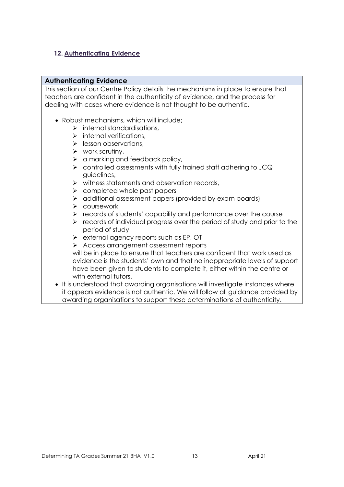## <span id="page-13-0"></span>**12. Authenticating Evidence**

## **Authenticating Evidence**

This section of our Centre Policy details the mechanisms in place to ensure that teachers are confident in the authenticity of evidence, and the process for dealing with cases where evidence is not thought to be authentic.

- Robust mechanisms, which will include;
	- $\triangleright$  internal standardisations,
	- $\triangleright$  internal verifications,
	- ➢ lesson observations,
	- $\triangleright$  work scrutiny,
	- $\triangleright$  a marking and feedback policy,
	- ➢ controlled assessments with fully trained staff adhering to JCQ guidelines,
	- ➢ witness statements and observation records,
	- ➢ completed whole past papers
	- ➢ additional assessment papers (provided by exam boards)
	- ➢ coursework
	- ➢ records of students' capability and performance over the course
	- ➢ records of individual progress over the period of study and prior to the period of study
	- ➢ external agency reports such as EP, OT
	- ➢ Access arrangement assessment reports

will be in place to ensure that teachers are confident that work used as evidence is the students' own and that no inappropriate levels of support have been given to students to complete it, either within the centre or with external tutors.

• It is understood that awarding organisations will investigate instances where it appears evidence is not authentic. We will follow all guidance provided by awarding organisations to support these determinations of authenticity.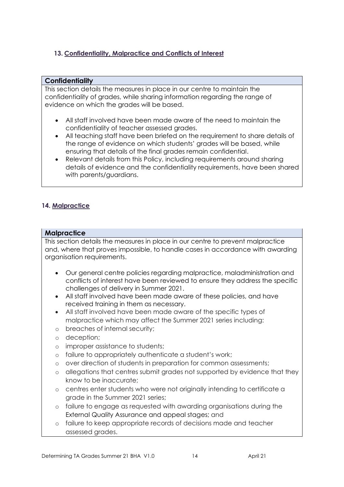## <span id="page-14-0"></span>**13. Confidentiality, Malpractice and Conflicts of Interest**

## **Confidentiality**

This section details the measures in place in our centre to maintain the confidentiality of grades, while sharing information regarding the range of evidence on which the grades will be based.

- All staff involved have been made aware of the need to maintain the confidentiality of teacher assessed grades.
- All teaching staff have been briefed on the requirement to share details of the range of evidence on which students' grades will be based, while ensuring that details of the final grades remain confidential.
- Relevant details from this Policy, including requirements around sharing details of evidence and the confidentiality requirements, have been shared with parents/guardians.

## <span id="page-14-1"></span>**14. Malpractice**

## **Malpractice**

This section details the measures in place in our centre to prevent malpractice and, where that proves impossible, to handle cases in accordance with awarding organisation requirements.

- Our general centre policies regarding malpractice, maladministration and conflicts of interest have been reviewed to ensure they address the specific challenges of delivery in Summer 2021.
- All staff involved have been made aware of these policies, and have received training in them as necessary.
- All staff involved have been made aware of the specific types of malpractice which may affect the Summer 2021 series including:
- o breaches of internal security;
- o deception;
- o improper assistance to students;
- o failure to appropriately authenticate a student's work;
- o over direction of students in preparation for common assessments;
- o allegations that centres submit grades not supported by evidence that they know to be inaccurate;
- o centres enter students who were not originally intending to certificate a grade in the Summer 2021 series;
- o failure to engage as requested with awarding organisations during the External Quality Assurance and appeal stages; and
- o failure to keep appropriate records of decisions made and teacher assessed grades.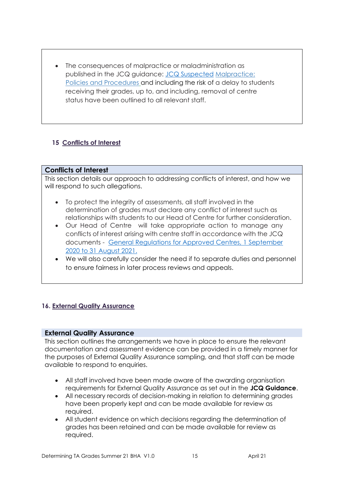• The consequences of malpractice or maladministration as published in the JCQ guidance: [JCQ Suspected](https://www.jcq.org.uk/exams-office/malpractice/jcq-suspected-malpractice-policies-and-procedures-2019-2020) Malpractice: Policies and Procedures and including the risk of a delay to students receiving their grades, up to, and including, removal of centre status have been outlined to all relevant staff.

## <span id="page-15-0"></span>**15 Conflicts of Interest**

## **Conflicts of Interest**

This section details our approach to addressing conflicts of interest, and how we will respond to such allegations.

- To protect the integrity of assessments, all staff involved in the determination of grades must declare any conflict of interest such as relationships with students to our Head of Centre for further consideration.
- Our Head of Centre will take appropriate action to manage any conflicts of interest arising with centre staff in accordance with the JCQ documents - [General Regulations for Approved Centres, 1 September](https://www.jcq.org.uk/wp-content/uploads/2020/09/Gen_regs_approved_centres_20-21_FINAL.pdf)  [2020 to 31 August 2021.](https://www.jcq.org.uk/wp-content/uploads/2020/09/Gen_regs_approved_centres_20-21_FINAL.pdf)
- We will also carefully consider the need if to separate duties and personnel to ensure fairness in later process reviews and appeals.

## <span id="page-15-1"></span>**16. External Quality Assurance**

## **External Quality Assurance**

This section outlines the arrangements we have in place to ensure the relevant documentation and assessment evidence can be provided in a timely manner for the purposes of External Quality Assurance sampling, and that staff can be made available to respond to enquiries.

- All staff involved have been made aware of the awarding organisation requirements for External Quality Assurance as set out in the **JCQ Guidance**.
- All necessary records of decision-making in relation to determining grades have been properly kept and can be made available for review as required.
- All student evidence on which decisions regarding the determination of grades has been retained and can be made available for review as required.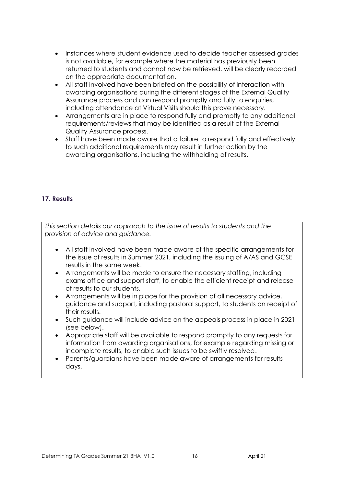- Instances where student evidence used to decide teacher assessed grades is not available, for example where the material has previously been returned to students and cannot now be retrieved, will be clearly recorded on the appropriate documentation.
- All staff involved have been briefed on the possibility of interaction with awarding organisations during the different stages of the External Quality Assurance process and can respond promptly and fully to enquiries, including attendance at Virtual Visits should this prove necessary.
- Arrangements are in place to respond fully and promptly to any additional requirements/reviews that may be identified as a result of the External Quality Assurance process.
- Staff have been made aware that a failure to respond fully and effectively to such additional requirements may result in further action by the awarding organisations, including the withholding of results.

## <span id="page-16-0"></span>**17. Results**

*This section details our approach to the issue of results to students and the provision of advice and guidance.* 

- All staff involved have been made aware of the specific arrangements for the issue of results in Summer 2021, including the issuing of A/AS and GCSE results in the same week.
- Arrangements will be made to ensure the necessary staffing, including exams office and support staff, to enable the efficient receipt and release of results to our students.
- Arrangements will be in place for the provision of all necessary advice, guidance and support, including pastoral support, to students on receipt of their results.
- Such guidance will include advice on the appeals process in place in 2021 (see below).
- Appropriate staff will be available to respond promptly to any requests for information from awarding organisations, for example regarding missing or incomplete results, to enable such issues to be swiftly resolved.
- Parents/guardians have been made aware of arrangements for results days.